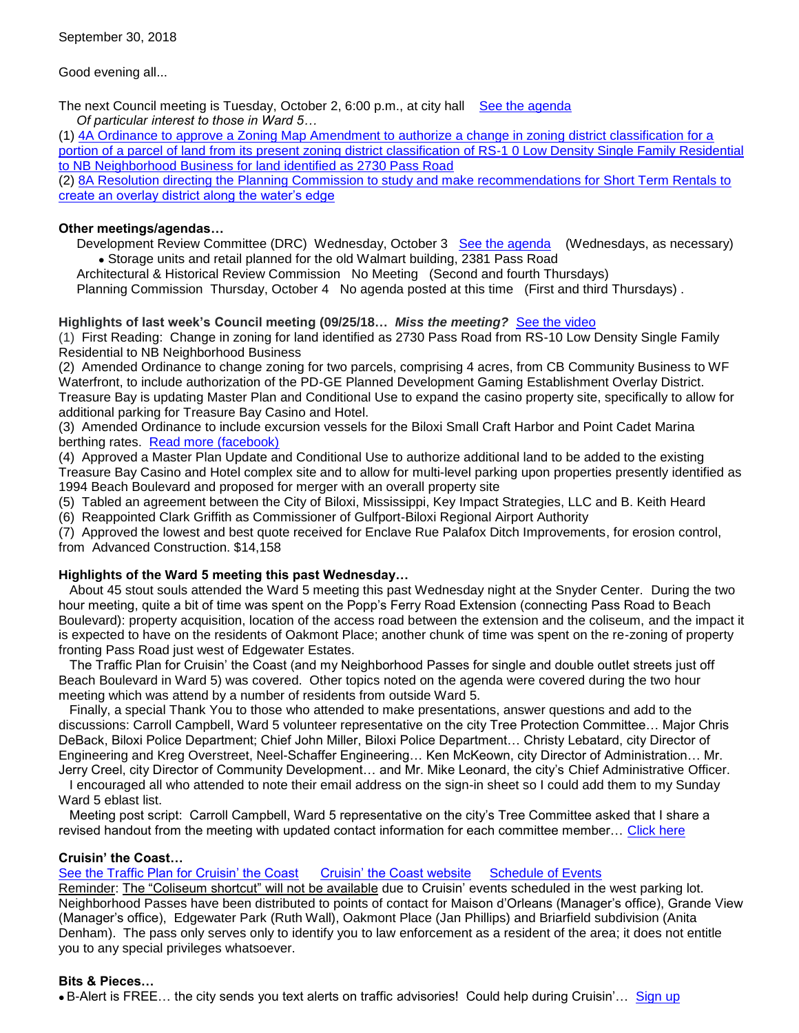Good evening all...

The next Council meeting is Tuesday, October 2, 6:00 p.m., at city hall See [the agenda](https://www.biloxi.ms.us/agendas/citycouncil/2018/100218/100218agenda.pdf) *Of particular interest to those in Ward 5…*

(1) [4A Ordinance to approve a Zoning Map Amendment to authorize a change in zoning district classification for a](https://www.biloxi.ms.us/agendas/citycouncil/2018/100218/092518apc.pdf)  [portion of a parcel of land from its present zoning district classification of RS-1 0 Low Density Single Family Residential](https://www.biloxi.ms.us/agendas/citycouncil/2018/100218/092518apc.pdf)  [to NB Neighborhood Business for land identified as 2730 Pass Road](https://www.biloxi.ms.us/agendas/citycouncil/2018/100218/092518apc.pdf)

(2) [8A Resolution directing the Planning Commission to study and make recommendations for Short Term Rentals to](https://www.biloxi.ms.us/agendas/citycouncil/2018/100218/100218bcou.pdf)  [create an overlay district along the water's edge](https://www.biloxi.ms.us/agendas/citycouncil/2018/100218/100218bcou.pdf)

#### **Other meetings/agendas…**

 Development Review Committee (DRC) Wednesday, October 3 [See the agenda](https://www.biloxi.ms.us/agendas/DRC/2018/DRC-2018-10-3.pdf) (Wednesdays, as necessary) Storage units and retail planned for the old Walmart building, 2381 Pass Road

Architectural & Historical Review Commission No Meeting (Second and fourth Thursdays)

Planning Commission Thursday, October 4 No agenda posted at this time (First and third Thursdays) .

### **Highlights of last week's Council meeting (09/25/18…** *Miss the meeting?*[See the video](https://www.youtube.com/watch?v=a078NPIAWUo)

(1) First Reading: Change in zoning for land identified as 2730 Pass Road from RS-10 Low Density Single Family Residential to NB Neighborhood Business

(2) Amended Ordinance to change zoning for two parcels, comprising 4 acres, from CB Community Business to WF Waterfront, to include authorization of the PD-GE Planned Development Gaming Establishment Overlay District. Treasure Bay is updating Master Plan and Conditional Use to expand the casino property site, specifically to allow for additional parking for Treasure Bay Casino and Hotel.

(3) Amended Ordinance to include excursion vessels for the Biloxi Small Craft Harbor and Point Cadet Marina berthing rates. [Read more \(facebook\)](https://www.facebook.com/MMJkeithwilson/posts/1892867224355346?__tn__=K-R)

(4) Approved a Master Plan Update and Conditional Use to authorize additional land to be added to the existing Treasure Bay Casino and Hotel complex site and to allow for multi-level parking upon properties presently identified as 1994 Beach Boulevard and proposed for merger with an overall property site

(5) Tabled an agreement between the City of Biloxi, Mississippi, Key Impact Strategies, LLC and B. Keith Heard

(6) Reappointed Clark Griffith as Commissioner of Gulfport-Biloxi Regional Airport Authority

(7) Approved the lowest and best quote received for Enclave Rue Palafox Ditch Improvements, for erosion control, from Advanced Construction. \$14,158

#### **Highlights of the Ward 5 meeting this past Wednesday…**

 About 45 stout souls attended the Ward 5 meeting this past Wednesday night at the Snyder Center. During the two hour meeting, quite a bit of time was spent on the Popp's Ferry Road Extension (connecting Pass Road to Beach Boulevard): property acquisition, location of the access road between the extension and the coliseum, and the impact it is expected to have on the residents of Oakmont Place; another chunk of time was spent on the re-zoning of property fronting Pass Road just west of Edgewater Estates.

 The Traffic Plan for Cruisin' the Coast (and my Neighborhood Passes for single and double outlet streets just off Beach Boulevard in Ward 5) was covered. Other topics noted on the agenda were covered during the two hour meeting which was attend by a number of residents from outside Ward 5.

 Finally, a special Thank You to those who attended to make presentations, answer questions and add to the discussions: Carroll Campbell, Ward 5 volunteer representative on the city Tree Protection Committee… Major Chris DeBack, Biloxi Police Department; Chief John Miller, Biloxi Police Department… Christy Lebatard, city Director of Engineering and Kreg Overstreet, Neel-Schaffer Engineering… Ken McKeown, city Director of Administration… Mr. Jerry Creel, city Director of Community Development… and Mr. Mike Leonard, the city's Chief Administrative Officer.

 I encouraged all who attended to note their email address on the sign-in sheet so I could add them to my Sunday Ward 5 eblast list.

 Meeting post script: Carroll Campbell, Ward 5 representative on the city's Tree Committee asked that I share a revised handout from the meeting with updated contact information for each committee member... [Click here](http://tisdaleforbiloxi.com/wp-content/uploads/2018/09/Tree-Committee-purpose-and-contact-info-Carroll-Campbell...-18-0926-Ward-5-handout.pdf)

#### **Cruisin' the Coast…**

[See the Traffic Plan for Cruisin' the Coast](https://www.biloxi.ms.us/wp-content/uploads/2018/09/cruisintrafficplan2018.pdf) [Cruisin' the Coast website](https://cruisinthecoast.com/) [Schedule of Events](https://cruisinthecoast.com/schedule/)

Reminder: The "Coliseum shortcut" will not be available due to Cruisin' events scheduled in the west parking lot. Neighborhood Passes have been distributed to points of contact for Maison d'Orleans (Manager's office), Grande View (Manager's office), Edgewater Park (Ruth Wall), Oakmont Place (Jan Phillips) and Briarfield subdivision (Anita Denham). The pass only serves only to identify you to law enforcement as a resident of the area; it does not entitle you to any special privileges whatsoever.

#### **Bits & Pieces…**

• B-Alert is FREE... the city sends you text alerts on traffic advisories! Could help during Cruisin'... [Sign up](https://www.biloxi.ms.us/b-alert/)